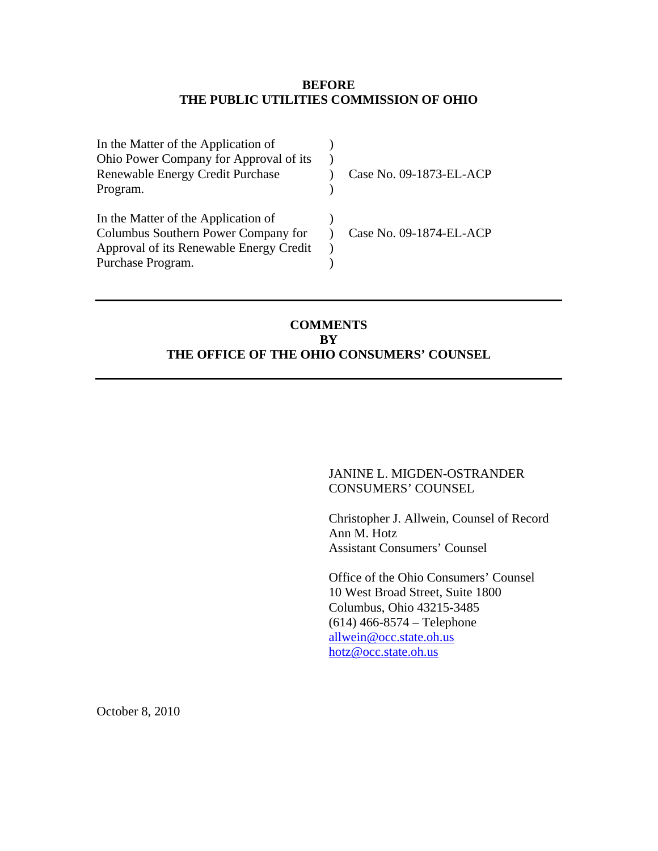### **BEFORE THE PUBLIC UTILITIES COMMISSION OF OHIO**

| In the Matter of the Application of     |                         |
|-----------------------------------------|-------------------------|
| Ohio Power Company for Approval of its  |                         |
| Renewable Energy Credit Purchase        | Case No. 09-1873-EL-ACP |
| Program.                                |                         |
| In the Matter of the Application of     |                         |
| Columbus Southern Power Company for     | Case No. 09-1874-EL-ACP |
| Approval of its Renewable Energy Credit |                         |
| Purchase Program.                       |                         |

## **COMMENTS BY THE OFFICE OF THE OHIO CONSUMERS' COUNSEL**

### JANINE L. MIGDEN-OSTRANDER CONSUMERS' COUNSEL

 Christopher J. Allwein, Counsel of Record Ann M. Hotz Assistant Consumers' Counsel

 Office of the Ohio Consumers' Counsel 10 West Broad Street, Suite 1800 Columbus, Ohio 43215-3485 (614) 466-8574 – Telephone [allwein@occ.state.oh.us](mailto:allwein@occ.state.oh.us) [hotz@occ.state.oh.us](mailto:hotz@occ.state.oh.us)

October 8, 2010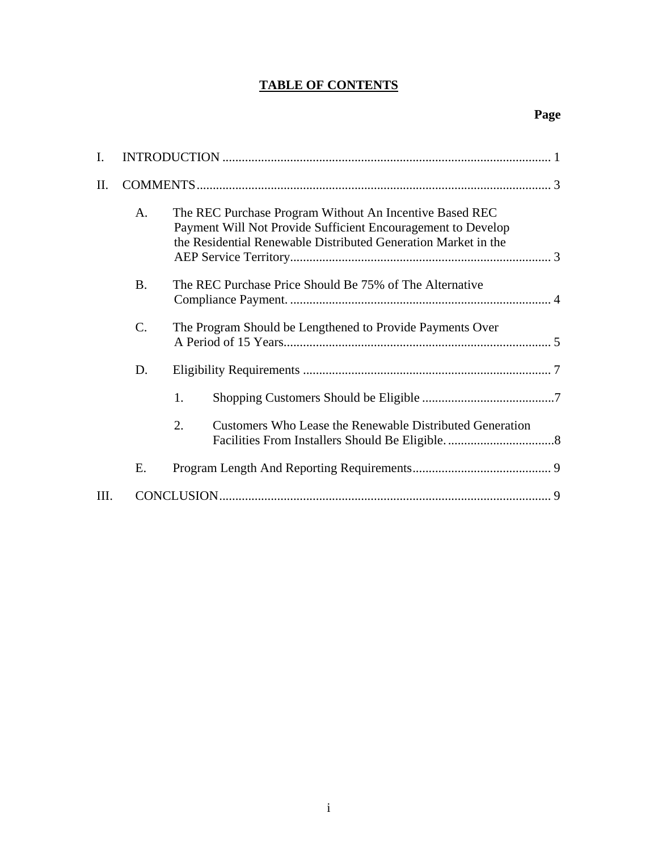# **TABLE OF CONTENTS**

| Ι.  |                |                                                                                                                                                                                           |  |  |
|-----|----------------|-------------------------------------------------------------------------------------------------------------------------------------------------------------------------------------------|--|--|
| II. |                |                                                                                                                                                                                           |  |  |
|     | A <sub>1</sub> | The REC Purchase Program Without An Incentive Based REC<br>Payment Will Not Provide Sufficient Encouragement to Develop<br>the Residential Renewable Distributed Generation Market in the |  |  |
|     | <b>B.</b>      | The REC Purchase Price Should Be 75% of The Alternative                                                                                                                                   |  |  |
|     | $C$ .          | The Program Should be Lengthened to Provide Payments Over                                                                                                                                 |  |  |
|     | D.             |                                                                                                                                                                                           |  |  |
|     |                | 1.                                                                                                                                                                                        |  |  |
|     |                | 2.<br>Customers Who Lease the Renewable Distributed Generation                                                                                                                            |  |  |
|     | Ε.             |                                                                                                                                                                                           |  |  |
| HI. |                |                                                                                                                                                                                           |  |  |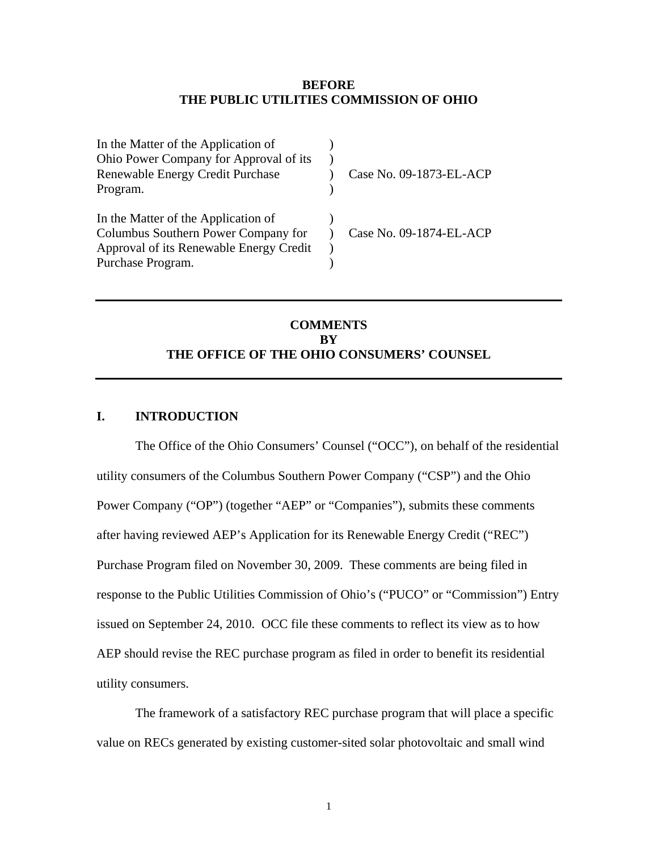#### **BEFORE THE PUBLIC UTILITIES COMMISSION OF OHIO**

<span id="page-2-0"></span>

| In the Matter of the Application of     |                         |
|-----------------------------------------|-------------------------|
| Ohio Power Company for Approval of its  |                         |
| Renewable Energy Credit Purchase        | Case No. 09-1873-EL-ACP |
| Program.                                |                         |
| In the Matter of the Application of     |                         |
| Columbus Southern Power Company for     | Case No. 09-1874-EL-ACP |
| Approval of its Renewable Energy Credit |                         |
| Purchase Program.                       |                         |

## **COMMENTS BY THE OFFICE OF THE OHIO CONSUMERS' COUNSEL**

### **I. INTRODUCTION**

 The Office of the Ohio Consumers' Counsel ("OCC"), on behalf of the residential utility consumers of the Columbus Southern Power Company ("CSP") and the Ohio Power Company ("OP") (together "AEP" or "Companies"), submits these comments after having reviewed AEP's Application for its Renewable Energy Credit ("REC") Purchase Program filed on November 30, 2009. These comments are being filed in response to the Public Utilities Commission of Ohio's ("PUCO" or "Commission") Entry issued on September 24, 2010. OCC file these comments to reflect its view as to how AEP should revise the REC purchase program as filed in order to benefit its residential utility consumers.

The framework of a satisfactory REC purchase program that will place a specific value on RECs generated by existing customer-sited solar photovoltaic and small wind

1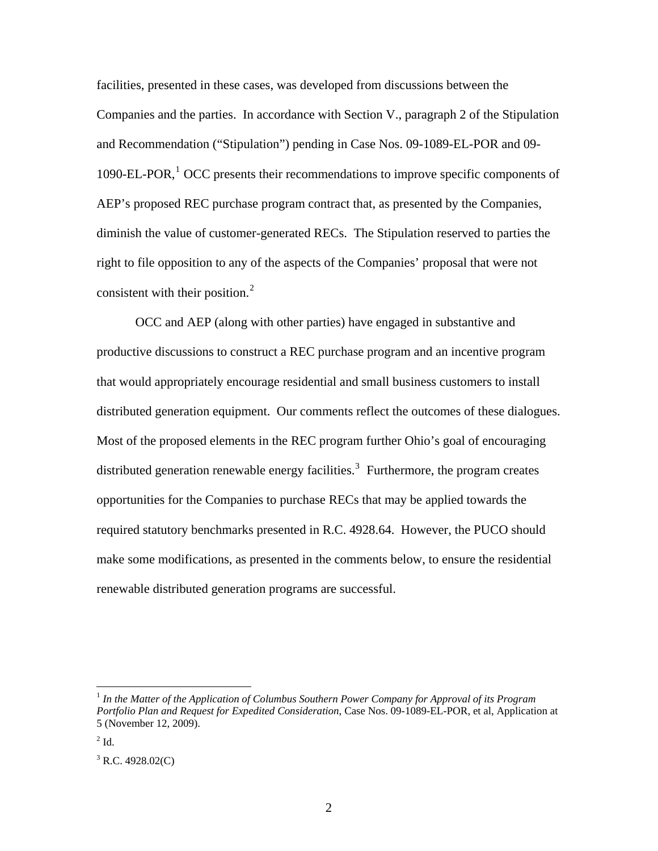facilities, presented in these cases, was developed from discussions between the Companies and the parties. In accordance with Section V., paragraph 2 of the Stipulation and Recommendation ("Stipulation") pending in Case Nos. 09-1089-EL-POR and 09- [1](#page-3-2)090-EL-POR,<sup>1</sup> OCC presents their recommendations to improve specific components of AEP's proposed REC purchase program contract that, as presented by the Companies, diminish the value of customer-generated RECs. The Stipulation reserved to parties the right to file opposition to any of the aspects of the Companies' proposal that were not consistent with their position. $^{2}$  $^{2}$  $^{2}$ 

OCC and AEP (along with other parties) have engaged in substantive and productive discussions to construct a REC purchase program and an incentive program that would appropriately encourage residential and small business customers to install distributed generation equipment. Our comments reflect the outcomes of these dialogues. Most of the proposed elements in the REC program further Ohio's goal of encouraging distributed generation renewable energy facilities.<sup>[3](#page-3-0)</sup> Furthermore, the program creates opportunities for the Companies to purchase RECs that may be applied towards the required statutory benchmarks presented in R.C. 4928.64. However, the PUCO should make some modifications, as presented in the comments below, to ensure the residential renewable distributed generation programs are successful.

<span id="page-3-2"></span><sup>1</sup> *In the Matter of the Application of Columbus Southern Power Company for Approval of its Program Portfolio Plan and Request for Expedited Consideration*, Case Nos. 09-1089-EL-POR, et al, Application at 5 (November 12, 2009).

<span id="page-3-1"></span> $2$  Id.

<span id="page-3-0"></span> $3$  R.C. 4928.02(C)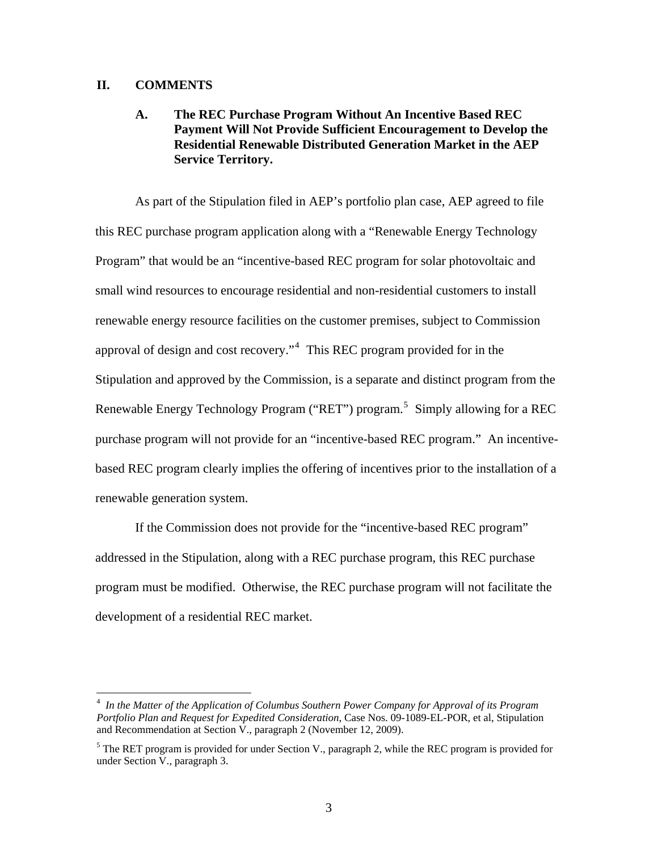#### <span id="page-4-0"></span>**II. COMMENTS**

 $\overline{a}$ 

### **A. The REC Purchase Program Without An Incentive Based REC Payment Will Not Provide Sufficient Encouragement to Develop the Residential Renewable Distributed Generation Market in the AEP Service Territory.**

As part of the Stipulation filed in AEP's portfolio plan case, AEP agreed to file this REC purchase program application along with a "Renewable Energy Technology Program" that would be an "incentive-based REC program for solar photovoltaic and small wind resources to encourage residential and non-residential customers to install renewable energy resource facilities on the customer premises, subject to Commission approval of design and cost recovery."<sup>[4](#page-4-2)</sup> This REC program provided for in the Stipulation and approved by the Commission, is a separate and distinct program from the Renewable Energy Technology Program ("RET") program.<sup>[5](#page-4-1)</sup> Simply allowing for a REC purchase program will not provide for an "incentive-based REC program." An incentivebased REC program clearly implies the offering of incentives prior to the installation of a renewable generation system.

If the Commission does not provide for the "incentive-based REC program" addressed in the Stipulation, along with a REC purchase program, this REC purchase program must be modified. Otherwise, the REC purchase program will not facilitate the development of a residential REC market.

<span id="page-4-2"></span><sup>4</sup> *In the Matter of the Application of Columbus Southern Power Company for Approval of its Program Portfolio Plan and Request for Expedited Consideration*, Case Nos. 09-1089-EL-POR, et al, Stipulation and Recommendation at Section V., paragraph 2 (November 12, 2009).

<span id="page-4-1"></span> $<sup>5</sup>$  The RET program is provided for under Section V., paragraph 2, while the REC program is provided for</sup> under Section V., paragraph 3.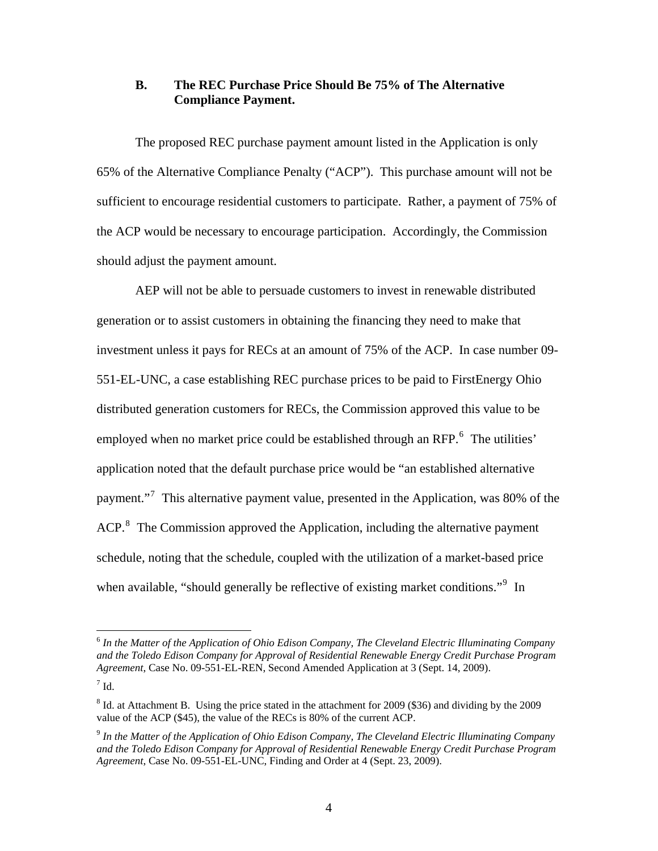### <span id="page-5-0"></span>**B. The REC Purchase Price Should Be 75% of The Alternative Compliance Payment.**

The proposed REC purchase payment amount listed in the Application is only 65% of the Alternative Compliance Penalty ("ACP"). This purchase amount will not be sufficient to encourage residential customers to participate. Rather, a payment of 75% of the ACP would be necessary to encourage participation. Accordingly, the Commission should adjust the payment amount.

AEP will not be able to persuade customers to invest in renewable distributed generation or to assist customers in obtaining the financing they need to make that investment unless it pays for RECs at an amount of 75% of the ACP. In case number 09- 551-EL-UNC, a case establishing REC purchase prices to be paid to FirstEnergy Ohio distributed generation customers for RECs, the Commission approved this value to be employed when no market price could be established through an RFP. $<sup>6</sup>$  $<sup>6</sup>$  $<sup>6</sup>$  The utilities'</sup> application noted that the default purchase price would be "an established alternative payment."<sup>[7](#page-5-4)</sup> This alternative payment value, presented in the Application, was 80% of the ACP.<sup>[8](#page-5-1)</sup> The Commission approved the Application, including the alternative payment schedule, noting that the schedule, coupled with the utilization of a market-based price when available, "should generally be reflective of existing market conditions."<sup>[9](#page-5-2)</sup> In

<span id="page-5-3"></span><sup>6</sup> *In the Matter of the Application of Ohio Edison Company, The Cleveland Electric Illuminating Company and the Toledo Edison Company for Approval of Residential Renewable Energy Credit Purchase Program Agreement*, Case No. 09-551-EL-REN, Second Amended Application at 3 (Sept. 14, 2009).

<span id="page-5-4"></span> $^7$  Id.

<span id="page-5-1"></span><sup>&</sup>lt;sup>8</sup> Id. at Attachment B. Using the price stated in the attachment for 2009 (\$36) and dividing by the 2009 value of the ACP (\$45), the value of the RECs is 80% of the current ACP.

<span id="page-5-2"></span><sup>9</sup> *In the Matter of the Application of Ohio Edison Company, The Cleveland Electric Illuminating Company and the Toledo Edison Company for Approval of Residential Renewable Energy Credit Purchase Program Agreement*, Case No. 09-551-EL-UNC, Finding and Order at 4 (Sept. 23, 2009).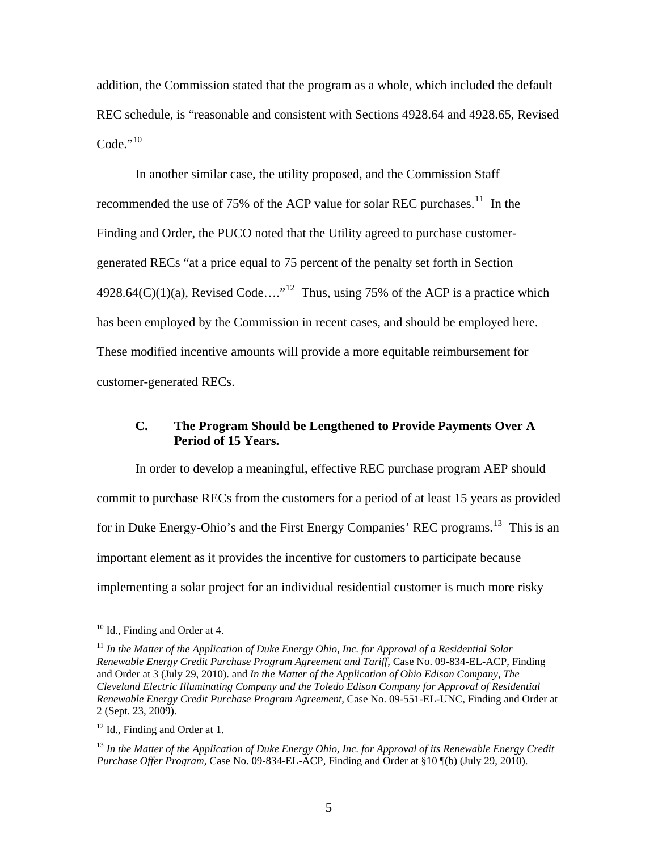<span id="page-6-0"></span>addition, the Commission stated that the program as a whole, which included the default REC schedule, is "reasonable and consistent with Sections 4928.64 and 4928.65, Revised  $Code<sup>10</sup>$  $Code<sup>10</sup>$  $Code<sup>10</sup>$ 

In another similar case, the utility proposed, and the Commission Staff recommended the use of 75% of the ACP value for solar REC purchases.<sup>[11](#page-6-4)</sup> In the Finding and Order, the PUCO noted that the Utility agreed to purchase customergenerated RECs "at a price equal to 75 percent of the penalty set forth in Section 4928.64(C)(1)(a), Revised Code...."<sup>[12](#page-6-1)</sup> Thus, using 75% of the ACP is a practice which has been employed by the Commission in recent cases, and should be employed here. These modified incentive amounts will provide a more equitable reimbursement for customer-generated RECs.

### **C. The Program Should be Lengthened to Provide Payments Over A Period of 15 Years.**

In order to develop a meaningful, effective REC purchase program AEP should commit to purchase RECs from the customers for a period of at least 15 years as provided for in Duke Energy-Ohio's and the First Energy Companies' REC programs.<sup>[13](#page-6-2)</sup> This is an important element as it provides the incentive for customers to participate because implementing a solar project for an individual residential customer is much more risky

<span id="page-6-3"></span> $10$  Id., Finding and Order at 4.

<span id="page-6-4"></span><sup>11</sup> *In the Matter of the Application of Duke Energy Ohio, Inc. for Approval of a Residential Solar Renewable Energy Credit Purchase Program Agreement and Tariff*, Case No. 09-834-EL-ACP, Finding and Order at 3 (July 29, 2010). and *In the Matter of the Application of Ohio Edison Company, The Cleveland Electric Illuminating Company and the Toledo Edison Company for Approval of Residential Renewable Energy Credit Purchase Program Agreement*, Case No. 09-551-EL-UNC, Finding and Order at 2 (Sept. 23, 2009).

<span id="page-6-1"></span> $12$  Id., Finding and Order at 1.

<span id="page-6-2"></span><sup>13</sup> *In the Matter of the Application of Duke Energy Ohio, Inc. for Approval of its Renewable Energy Credit Purchase Offer Program*, Case No. 09-834-EL-ACP, Finding and Order at §10 ¶(b) (July 29, 2010).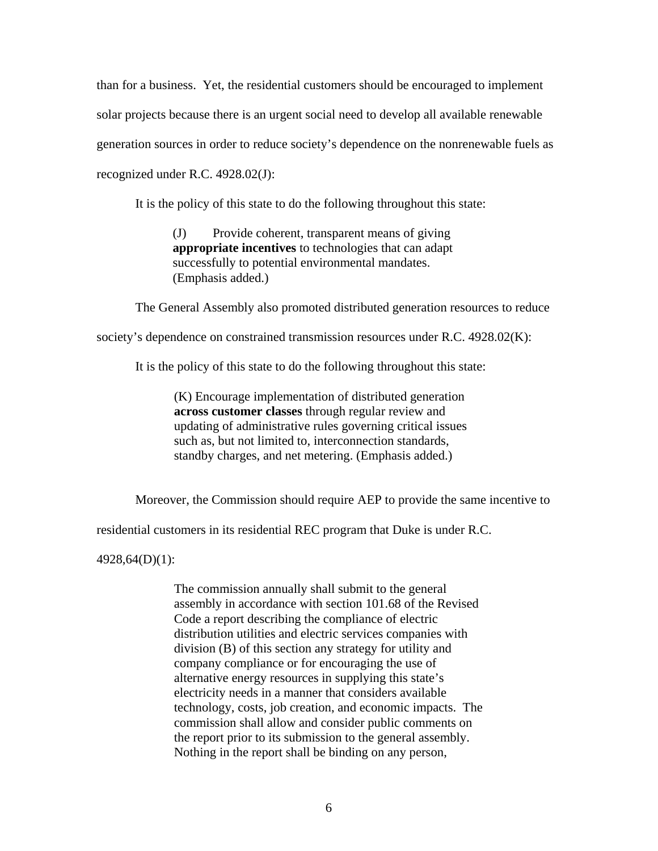than for a business. Yet, the residential customers should be encouraged to implement solar projects because there is an urgent social need to develop all available renewable generation sources in order to reduce society's dependence on the nonrenewable fuels as recognized under R.C. 4928.02(J):

It is the policy of this state to do the following throughout this state:

(J) Provide coherent, transparent means of giving **appropriate incentives** to technologies that can adapt successfully to potential environmental mandates. (Emphasis added.)

The General Assembly also promoted distributed generation resources to reduce

society's dependence on constrained transmission resources under R.C. 4928.02(K):

It is the policy of this state to do the following throughout this state:

(K) Encourage implementation of distributed generation **across customer classes** through regular review and updating of administrative rules governing critical issues such as, but not limited to, interconnection standards, standby charges, and net metering. (Emphasis added.)

Moreover, the Commission should require AEP to provide the same incentive to

residential customers in its residential REC program that Duke is under R.C.

4928,64(D)(1):

The commission annually shall submit to the general assembly in accordance with section 101.68 of the Revised Code a report describing the compliance of electric distribution utilities and electric services companies with division (B) of this section any strategy for utility and company compliance or for encouraging the use of alternative energy resources in supplying this state's electricity needs in a manner that considers available technology, costs, job creation, and economic impacts. The commission shall allow and consider public comments on the report prior to its submission to the general assembly. Nothing in the report shall be binding on any person,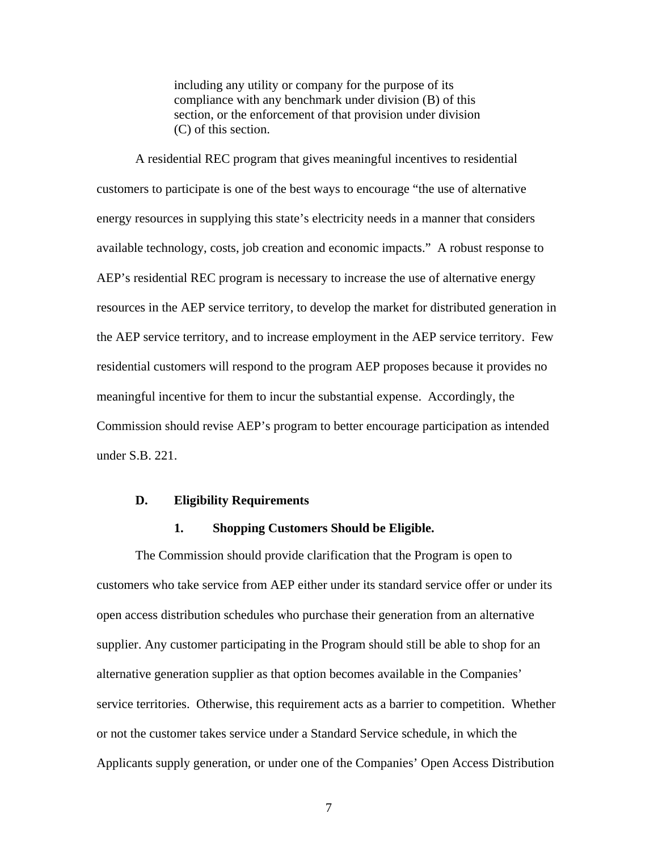including any utility or company for the purpose of its compliance with any benchmark under division (B) of this section, or the enforcement of that provision under division (C) of this section.

<span id="page-8-0"></span>A residential REC program that gives meaningful incentives to residential customers to participate is one of the best ways to encourage "the use of alternative energy resources in supplying this state's electricity needs in a manner that considers available technology, costs, job creation and economic impacts." A robust response to AEP's residential REC program is necessary to increase the use of alternative energy resources in the AEP service territory, to develop the market for distributed generation in the AEP service territory, and to increase employment in the AEP service territory. Few residential customers will respond to the program AEP proposes because it provides no meaningful incentive for them to incur the substantial expense. Accordingly, the Commission should revise AEP's program to better encourage participation as intended under S.B. 221.

#### **D. Eligibility Requirements**

#### **1. Shopping Customers Should be Eligible.**

The Commission should provide clarification that the Program is open to customers who take service from AEP either under its standard service offer or under its open access distribution schedules who purchase their generation from an alternative supplier. Any customer participating in the Program should still be able to shop for an alternative generation supplier as that option becomes available in the Companies' service territories. Otherwise, this requirement acts as a barrier to competition. Whether or not the customer takes service under a Standard Service schedule, in which the Applicants supply generation, or under one of the Companies' Open Access Distribution

7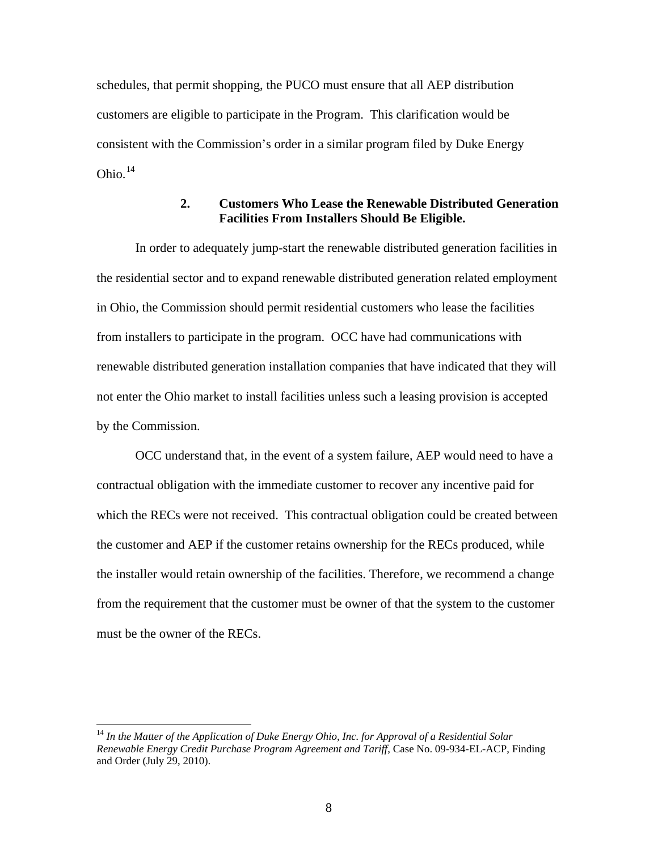schedules, that permit shopping, the PUCO must ensure that all AEP distribution customers are eligible to participate in the Program. This clarification would be consistent with the Commission's order in a similar program filed by Duke Energy Ohio. $14$ 

### **2. Customers Who Lease the Renewable Distributed Generation Facilities From Installers Should Be Eligible.**

In order to adequately jump-start the renewable distributed generation facilities in the residential sector and to expand renewable distributed generation related employment in Ohio, the Commission should permit residential customers who lease the facilities from installers to participate in the program. OCC have had communications with renewable distributed generation installation companies that have indicated that they will not enter the Ohio market to install facilities unless such a leasing provision is accepted by the Commission.

OCC understand that, in the event of a system failure, AEP would need to have a contractual obligation with the immediate customer to recover any incentive paid for which the RECs were not received. This contractual obligation could be created between the customer and AEP if the customer retains ownership for the RECs produced, while the installer would retain ownership of the facilities. Therefore, we recommend a change from the requirement that the customer must be owner of that the system to the customer must be the owner of the RECs.

<span id="page-9-0"></span><sup>14</sup> *In the Matter of the Application of Duke Energy Ohio, Inc. for Approval of a Residential Solar Renewable Energy Credit Purchase Program Agreement and Tariff*, Case No. 09-934-EL-ACP, Finding and Order (July 29, 2010).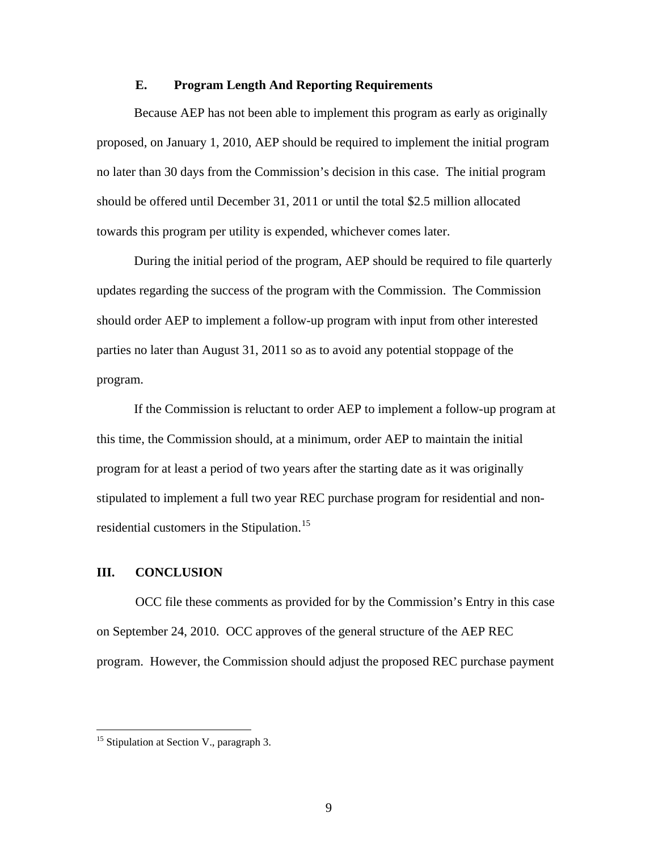#### **E. Program Length And Reporting Requirements**

<span id="page-10-0"></span>Because AEP has not been able to implement this program as early as originally proposed, on January 1, 2010, AEP should be required to implement the initial program no later than 30 days from the Commission's decision in this case. The initial program should be offered until December 31, 2011 or until the total \$2.5 million allocated towards this program per utility is expended, whichever comes later.

During the initial period of the program, AEP should be required to file quarterly updates regarding the success of the program with the Commission. The Commission should order AEP to implement a follow-up program with input from other interested parties no later than August 31, 2011 so as to avoid any potential stoppage of the program.

If the Commission is reluctant to order AEP to implement a follow-up program at this time, the Commission should, at a minimum, order AEP to maintain the initial program for at least a period of two years after the starting date as it was originally stipulated to implement a full two year REC purchase program for residential and non-residential customers in the Stipulation.<sup>[15](#page-10-1)</sup>

### **III. CONCLUSION**

OCC file these comments as provided for by the Commission's Entry in this case on September 24, 2010. OCC approves of the general structure of the AEP REC program. However, the Commission should adjust the proposed REC purchase payment

<span id="page-10-1"></span><sup>&</sup>lt;sup>15</sup> Stipulation at Section V., paragraph 3.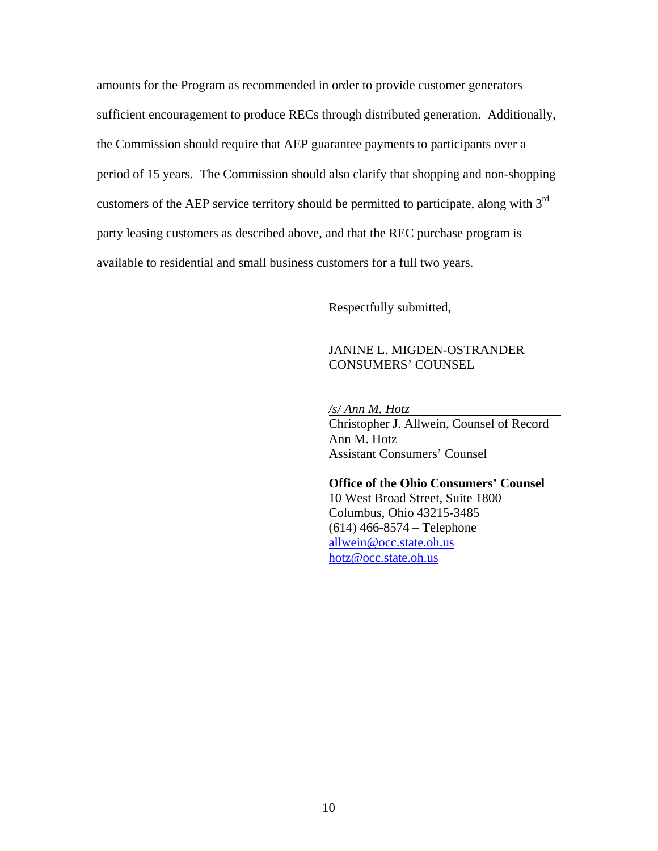amounts for the Program as recommended in order to provide customer generators sufficient encouragement to produce RECs through distributed generation. Additionally, the Commission should require that AEP guarantee payments to participants over a period of 15 years. The Commission should also clarify that shopping and non-shopping customers of the AEP service territory should be permitted to participate, along with  $3<sup>rd</sup>$ party leasing customers as described above, and that the REC purchase program is available to residential and small business customers for a full two years.

Respectfully submitted,

### JANINE L. MIGDEN-OSTRANDER CONSUMERS' COUNSEL

*/s/ Ann M. Hotz* 

 Christopher J. Allwein, Counsel of Record Ann M. Hotz Assistant Consumers' Counsel

 **Office of the Ohio Consumers' Counsel**  10 West Broad Street, Suite 1800 Columbus, Ohio 43215-3485 (614) 466-8574 – Telephone [allwein@occ.state.oh.us](mailto:allwein@occ.state.oh.us) [hotz@occ.state.oh.us](mailto:hotz@occ.state.oh.us)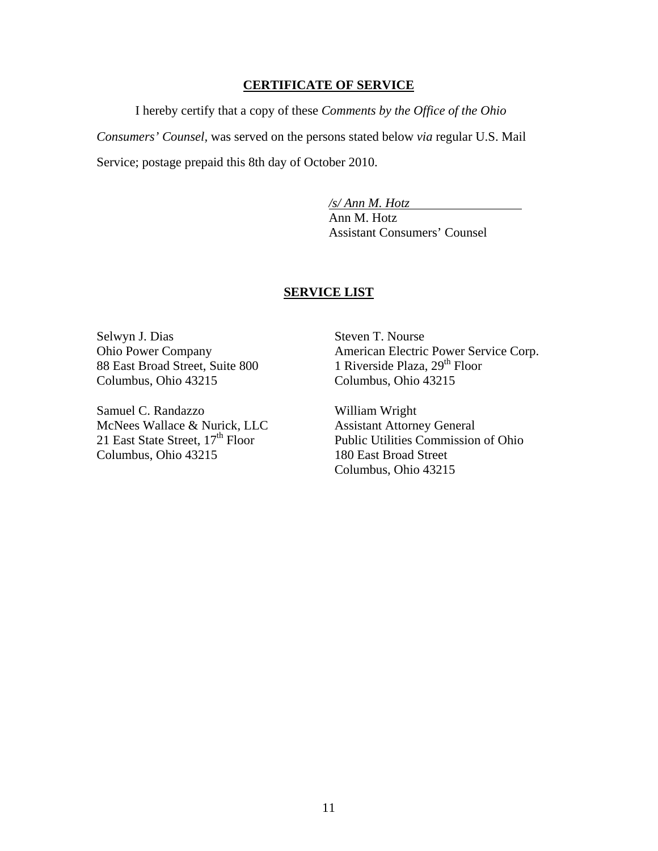#### **CERTIFICATE OF SERVICE**

 I hereby certify that a copy of these *Comments by the Office of the Ohio Consumers' Counsel,* was served on the persons stated below *via* regular U.S. Mail Service; postage prepaid this 8th day of October 2010.

> */s/ Ann M. Hotz*  Ann M. Hotz Assistant Consumers' Counsel

#### **SERVICE LIST**

Selwyn J. Dias Ohio Power Company 88 East Broad Street, Suite 800 Columbus, Ohio 43215

Samuel C. Randazzo McNees Wallace & Nurick, LLC 21 East State Street,  $17<sup>th</sup>$  Floor Columbus, Ohio 43215

Steven T. Nourse American Electric Power Service Corp. 1 Riverside Plaza, 29<sup>th</sup> Floor Columbus, Ohio 43215

William Wright Assistant Attorney General Public Utilities Commission of Ohio 180 East Broad Street Columbus, Ohio 43215